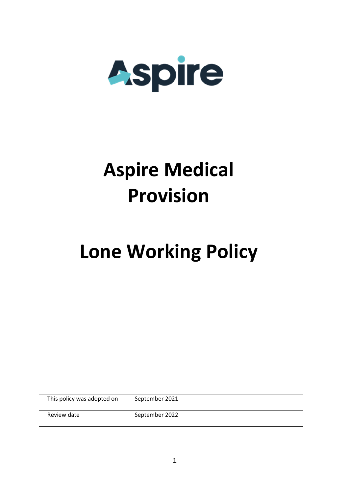

## **Aspire Medical Provision**

# **Lone Working Policy**

| This policy was adopted on | September 2021 |
|----------------------------|----------------|
| Review date                | September 2022 |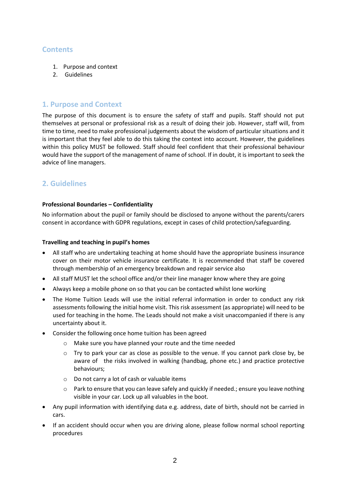### **Contents**

- 1. Purpose and context
- 2. Guidelines

### **1. Purpose and Context**

The purpose of this document is to ensure the safety of staff and pupils. Staff should not put themselves at personal or professional risk as a result of doing their job. However, staff will, from time to time, need to make professional judgements about the wisdom of particular situations and it is important that they feel able to do this taking the context into account. However, the guidelines within this policy MUST be followed. Staff should feel confident that their professional behaviour would have the support of the management of name of school. If in doubt, it is important to seek the advice of line managers.

## **2. Guidelines**

#### **Professional Boundaries – Confidentiality**

No information about the pupil or family should be disclosed to anyone without the parents/carers consent in accordance with GDPR regulations, except in cases of child protection/safeguarding.

#### **Travelling and teaching in pupil's homes**

- All staff who are undertaking teaching at home should have the appropriate business insurance cover on their motor vehicle insurance certificate. It is recommended that staff be covered through membership of an emergency breakdown and repair service also
- All staff MUST let the school office and/or their line manager know where they are going
- Always keep a mobile phone on so that you can be contacted whilst lone working
- The Home Tuition Leads will use the initial referral information in order to conduct any risk assessments following the initial home visit. This risk assessment (as appropriate) will need to be used for teaching in the home. The Leads should not make a visit unaccompanied if there is any uncertainty about it.
- Consider the following once home tuition has been agreed
	- o Make sure you have planned your route and the time needed
	- $\circ$  Try to park your car as close as possible to the venue. If you cannot park close by, be aware of the risks involved in walking (handbag, phone etc.) and practice protective behaviours;
	- o Do not carry a lot of cash or valuable items
	- Park to ensure that you can leave safely and quickly if needed.; ensure you leave nothing visible in your car. Lock up all valuables in the boot.
- Any pupil information with identifying data e.g. address, date of birth, should not be carried in cars.
- If an accident should occur when you are driving alone, please follow normal school reporting procedures